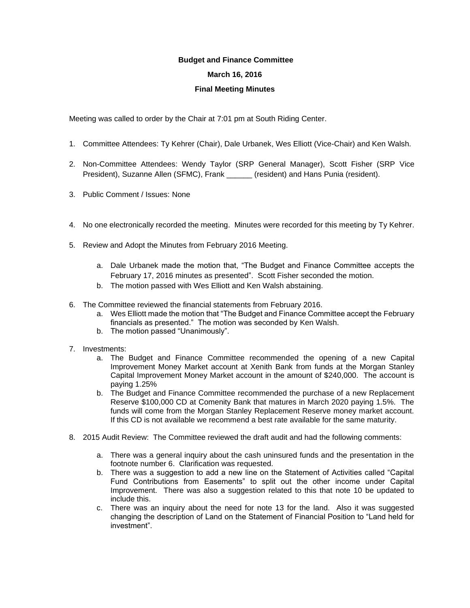## **Budget and Finance Committee**

## **March 16, 2016**

## **Final Meeting Minutes**

Meeting was called to order by the Chair at 7:01 pm at South Riding Center.

- 1. Committee Attendees: Ty Kehrer (Chair), Dale Urbanek, Wes Elliott (Vice-Chair) and Ken Walsh.
- 2. Non-Committee Attendees: Wendy Taylor (SRP General Manager), Scott Fisher (SRP Vice President), Suzanne Allen (SFMC), Frank \_\_\_\_\_\_ (resident) and Hans Punia (resident).
- 3. Public Comment / Issues: None
- 4. No one electronically recorded the meeting. Minutes were recorded for this meeting by Ty Kehrer.
- 5. Review and Adopt the Minutes from February 2016 Meeting.
	- a. Dale Urbanek made the motion that, "The Budget and Finance Committee accepts the February 17, 2016 minutes as presented". Scott Fisher seconded the motion.
	- b. The motion passed with Wes Elliott and Ken Walsh abstaining.
- 6. The Committee reviewed the financial statements from February 2016.
	- a. Wes Elliott made the motion that "The Budget and Finance Committee accept the February financials as presented." The motion was seconded by Ken Walsh.
	- b. The motion passed "Unanimously".
- 7. Investments:
	- a. The Budget and Finance Committee recommended the opening of a new Capital Improvement Money Market account at Xenith Bank from funds at the Morgan Stanley Capital Improvement Money Market account in the amount of \$240,000. The account is paying 1.25%
	- b. The Budget and Finance Committee recommended the purchase of a new Replacement Reserve \$100,000 CD at Comenity Bank that matures in March 2020 paying 1.5%. The funds will come from the Morgan Stanley Replacement Reserve money market account. If this CD is not available we recommend a best rate available for the same maturity.
- 8. 2015 Audit Review: The Committee reviewed the draft audit and had the following comments:
	- a. There was a general inquiry about the cash uninsured funds and the presentation in the footnote number 6. Clarification was requested.
	- b. There was a suggestion to add a new line on the Statement of Activities called "Capital Fund Contributions from Easements" to split out the other income under Capital Improvement. There was also a suggestion related to this that note 10 be updated to include this.
	- c. There was an inquiry about the need for note 13 for the land. Also it was suggested changing the description of Land on the Statement of Financial Position to "Land held for investment".